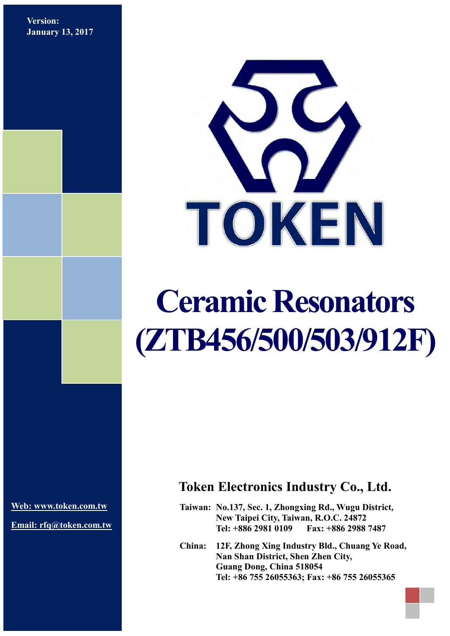**Version: January 13, 2017**



# **Ceramic Resonators (ZTB456/500/503/912F)**

**[Web: www.token.com.tw](http://www.token.com.tw/)**

**Email: rfq@token.com.tw**

## **Token Electronics Industry Co., Ltd.**

**Taiwan: No.137, Sec. 1, Zhongxing Rd., Wugu District, New Taipei City, Taiwan, R.O.C. 24872 Tel: +886 2981 0109 Fax: +886 2988 7487**

**China: 12F, Zhong Xing Industry Bld., Chuang Ye Road, Nan Shan District, Shen Zhen City, Guang Dong, China 518054 Tel: +86 755 26055363; Fax: +86 755 26055365**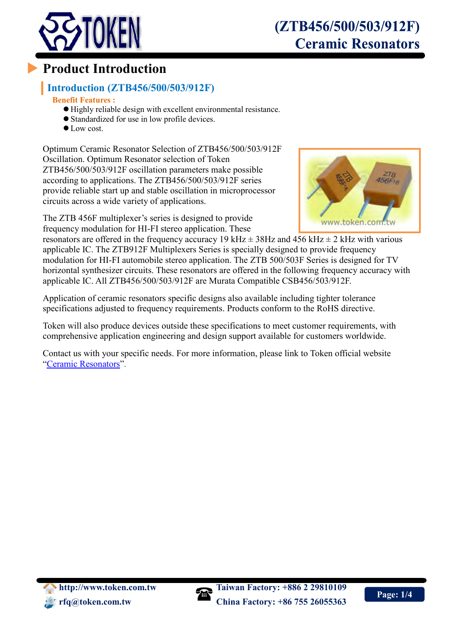

# **Product Introduction**

## **Introduction (ZTB456/500/503/912F)**

#### **Benefit Features :**

- Highly reliable design with excellent environmental resistance.
- Standardized for use in low profile devices.
- $\bullet$  Low cost.

Optimum Ceramic Resonator Selection of ZTB456/500/503/912F Oscillation. Optimum Resonator selection of Token ZTB456/500/503/912F oscillation parameters make possible according to applications. The ZTB456/500/503/912F series provide reliable start up and stable oscillation in microprocessor circuits across a wide variety of applications.

The ZTB 456F multiplexer's series is designed to provide frequency modulation for HI-FI stereo application. These



resonators are offered in the frequency accuracy 19 kHz  $\pm$  38Hz and 456 kHz  $\pm$  2 kHz with various applicable IC. The ZTB912F Multiplexers Series is specially designed to provide frequency modulation for HI-FI automobile stereo application. The ZTB 500/503F Series is designed for TV horizontal synthesizer circuits. These resonators are offered in the following frequency accuracy with applicable IC. All ZTB456/500/503/912F are Murata Compatible CSB456/503/912F.

Application of ceramic resonators specific designs also available including tighter tolerance specifications adjusted to frequency requirements. Products conform to the RoHS directive.

Token will also produce devices outside these specifications to meet customer requirements, with comprehensive application engineering and design support available for customers worldwide.

Contact us with your specific needs. For more information, please link to Token official website "[Ceramic Resonators](http://www.token.com.tw/resonator/index.html)".

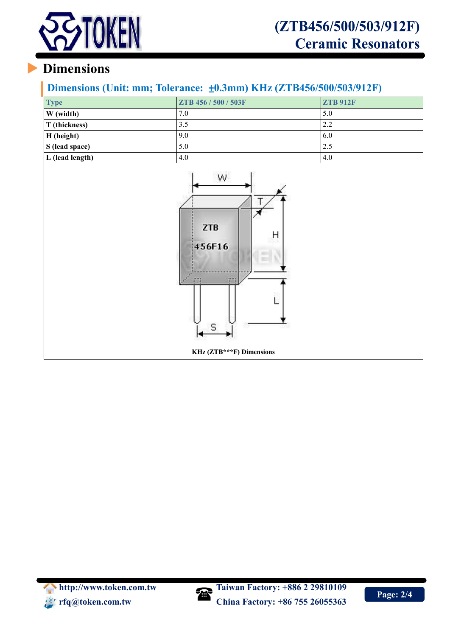

# **Dimensions**

### **Dimensions (Unit: mm; Tolerance:** ±**0.3mm) KHz (ZTB456/500/503/912F)**

| <b>Type</b>     | ZTB 456 / 500 / 503F | <b>ZTB 912F</b> |
|-----------------|----------------------|-----------------|
| W (width)       | 7.0                  | 5.0             |
| T (thickness)   | 3.5                  | 2.2             |
| H (height)      | 9.0                  | 6.0             |
| S (lead space)  | 5.0                  | 2.5             |
| L (lead length) | 4.0                  | 4.0             |



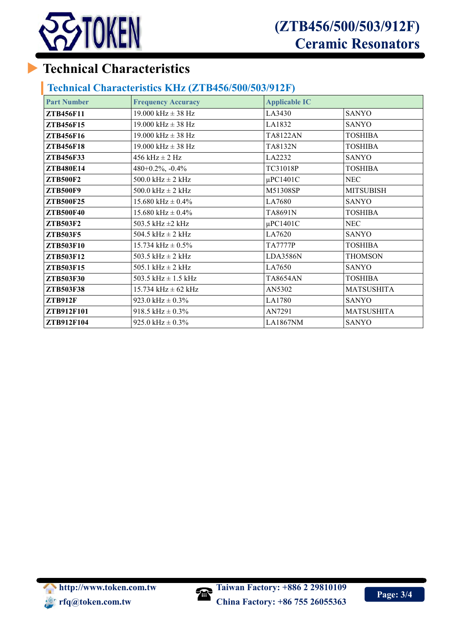

# (ZTB456/500/503/912F) **Ceramic Resonators**

# **Technical Characteristics**

#### **Technical Characteristics KHz (ZTB456/500/503/912F)**

| <b>Part Number</b> | <b>Frequency Accuracy</b> | <b>Applicable IC</b> |                   |
|--------------------|---------------------------|----------------------|-------------------|
| ZTB456F11          | 19.000 kHz $\pm$ 38 Hz    | LA3430               | <b>SANYO</b>      |
| ZTB456F15          | 19.000 kHz $\pm$ 38 Hz    | LA1832               | <b>SANYO</b>      |
| ZTB456F16          | 19.000 kHz $\pm$ 38 Hz    | <b>TA8122AN</b>      | <b>TOSHIBA</b>    |
| <b>ZTB456F18</b>   | $19.000$ kHz $\pm$ 38 Hz  | TA8132N              | <b>TOSHIBA</b>    |
| ZTB456F33          | $456$ kHz $\pm$ 2 Hz      | LA2232               | <b>SANYO</b>      |
| ZTB480E14          | $480+0.2\%$ , $-0.4\%$    | TC31018P             | <b>TOSHIBA</b>    |
| <b>ZTB500F2</b>    | $500.0$ kHz $\pm$ 2 kHz   | $\mu$ PC1401C        | <b>NEC</b>        |
| <b>ZTB500F9</b>    | $500.0$ kHz $\pm$ 2 kHz   | M51308SP             | <b>MITSUBISH</b>  |
| <b>ZTB500F25</b>   | 15.680 kHz $\pm$ 0.4%     | LA7680               | <b>SANYO</b>      |
| <b>ZTB500F40</b>   | $15.680$ kHz $\pm$ 0.4%   | TA8691N              | <b>TOSHIBA</b>    |
| <b>ZTB503F2</b>    | 503.5 kHz $\pm$ 2 kHz     | $\mu$ PC1401C        | <b>NEC</b>        |
| <b>ZTB503F5</b>    | 504.5 kHz $\pm$ 2 kHz     | LA7620               | <b>SANYO</b>      |
| ZTB503F10          | 15.734 kHz $\pm$ 0.5%     | <b>TA7777P</b>       | <b>TOSHIBA</b>    |
| ZTB503F12          | 503.5 kHz $\pm$ 2 kHz     | <b>LDA3586N</b>      | <b>THOMSON</b>    |
| ZTB503F15          | 505.1 $kHz \pm 2$ $kHz$   | LA7650               | SANYO             |
| ZTB503F30          | 503.5 kHz $\pm$ 1.5 kHz   | <b>TA8654AN</b>      | <b>TOSHIBA</b>    |
| ZTB503F38          | $15.734$ kHz $\pm$ 62 kHz | AN5302               | <b>MATSUSHITA</b> |
| <b>ZTB912F</b>     | 923.0 kHz $\pm$ 0.3%      | LA1780               | <b>SANYO</b>      |
| ZTB912F101         | 918.5 kHz $\pm$ 0.3%      | AN7291               | <b>MATSUSHITA</b> |
| ZTB912F104         | 925.0 kHz $\pm$ 0.3%      | LA1867NM             | <b>SANYO</b>      |